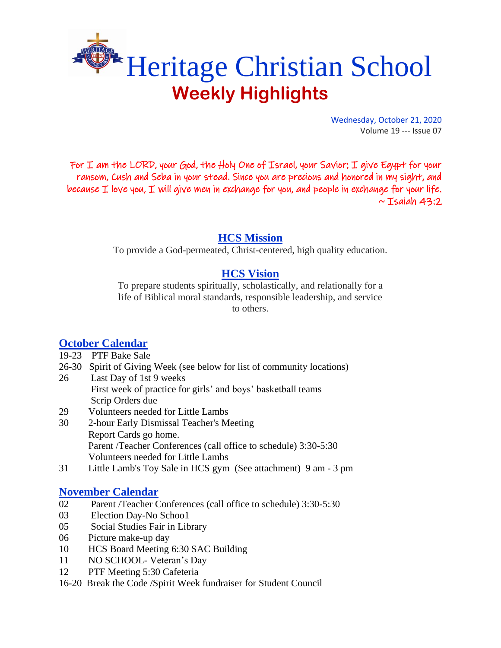

Wednesday, October 21, 2020 Volume 19 --- Issue 07

For I am the LORD, your God, the Holy One of Israel, your Savior; I give Egypt for your ransom, Cush and Seba in your stead. Since you are precious and honored in my sight, and because  $I$  love you,  $I$  will give men in exchange for you, and people in exchange for your life.  $\sim$  Isaiah 43:2

## **HCS Mission**

To provide a God-permeated, Christ-centered, high quality education.

# **HCS Vision**

To prepare students spiritually, scholastically, and relationally for a life of Biblical moral standards, responsible leadership, and service to others.

# **October Calendar**

- 19-23 PTF Bake Sale
- 26-30 Spirit of Giving Week (see below for list of community locations)
- 26 Last Day of 1st 9 weeks First week of practice for girls' and boys' basketball teams Scrip Orders due
- 29 Volunteers needed for Little Lambs
- 30 2-hour Early Dismissal Teacher's Meeting Report Cards go home. Parent /Teacher Conferences (call office to schedule) 3:30-5:30 Volunteers needed for Little Lambs
- 31 Little Lamb's Toy Sale in HCS gym (See attachment) 9 am 3 pm

## **November Calendar**

- 02 Parent /Teacher Conferences (call office to schedule) 3:30-5:30
- 03 Election Day-No Schoo1
- 05 Social Studies Fair in Library
- 06 Picture make-up day
- 10 HCS Board Meeting 6:30 SAC Building
- 11 NO SCHOOL- Veteran's Day
- 12 PTF Meeting 5:30 Cafeteria
- 16-20 Break the Code /Spirit Week fundraiser for Student Council